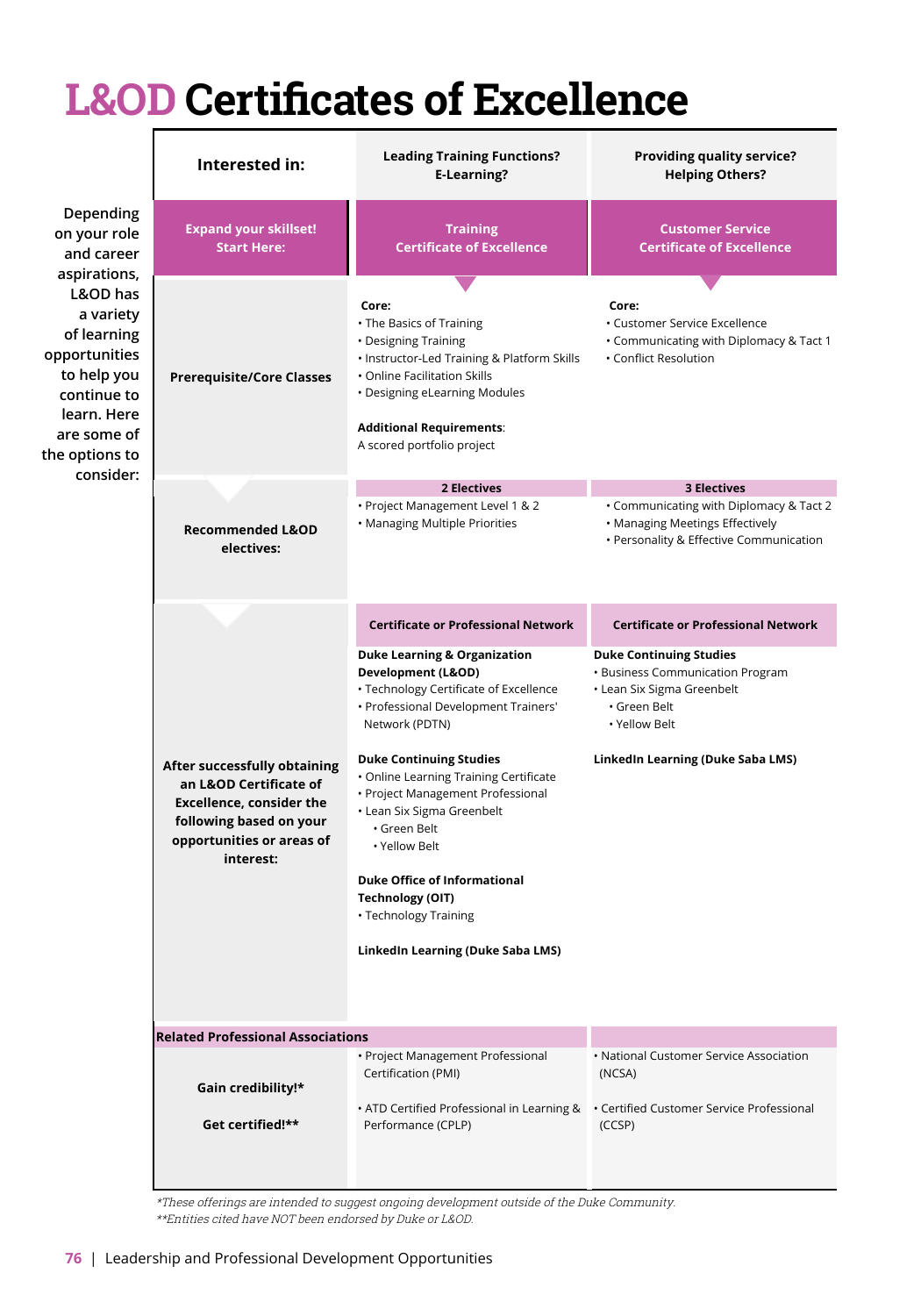## **L&OD Certificates of Excellence**

|                                                                                                                                                                                                             | Interested in:                                                                                                                                                 | <b>Leading Training Functions?</b><br><b>E-Learning?</b>                                                                                                                                                                                                                                                                                                                                                                                                                          | Providing quality service?<br><b>Helping Others?</b>                                                                                                                   |
|-------------------------------------------------------------------------------------------------------------------------------------------------------------------------------------------------------------|----------------------------------------------------------------------------------------------------------------------------------------------------------------|-----------------------------------------------------------------------------------------------------------------------------------------------------------------------------------------------------------------------------------------------------------------------------------------------------------------------------------------------------------------------------------------------------------------------------------------------------------------------------------|------------------------------------------------------------------------------------------------------------------------------------------------------------------------|
| Depending<br>on your role<br>and career<br>aspirations,<br>L&OD has<br>a variety<br>of learning<br>opportunities<br>to help you<br>continue to<br>learn. Here<br>are some of<br>the options to<br>consider: | <b>Expand your skillset!</b><br><b>Start Here:</b>                                                                                                             | <b>Training</b><br><b>Certificate of Excellence</b>                                                                                                                                                                                                                                                                                                                                                                                                                               | <b>Customer Service</b><br><b>Certificate of Excellence</b>                                                                                                            |
|                                                                                                                                                                                                             | <b>Prerequisite/Core Classes</b>                                                                                                                               | Core:<br>• The Basics of Training<br>• Designing Training<br>. Instructor-Led Training & Platform Skills<br>• Online Facilitation Skills<br>• Designing eLearning Modules<br><b>Additional Requirements:</b><br>A scored portfolio project                                                                                                                                                                                                                                        | Core:<br>• Customer Service Excellence<br>• Communicating with Diplomacy & Tact 1<br>• Conflict Resolution                                                             |
|                                                                                                                                                                                                             | <b>Recommended L&amp;OD</b><br>electives:                                                                                                                      | 2 Electives<br>· Project Management Level 1 & 2<br>• Managing Multiple Priorities                                                                                                                                                                                                                                                                                                                                                                                                 | <b>3 Electives</b><br>. Communicating with Diplomacy & Tact 2<br>• Managing Meetings Effectively<br>· Personality & Effective Communication                            |
|                                                                                                                                                                                                             | After successfully obtaining<br>an L&OD Certificate of<br><b>Excellence, consider the</b><br>following based on your<br>opportunities or areas of<br>interest: | <b>Certificate or Professional Network</b>                                                                                                                                                                                                                                                                                                                                                                                                                                        | <b>Certificate or Professional Network</b>                                                                                                                             |
|                                                                                                                                                                                                             |                                                                                                                                                                | <b>Duke Learning &amp; Organization</b><br>Development (L&OD)<br>• Technology Certificate of Excellence<br>• Professional Development Trainers'<br>Network (PDTN)<br><b>Duke Continuing Studies</b><br>• Online Learning Training Certificate<br>• Project Management Professional<br>• Lean Six Sigma Greenbelt<br>• Green Belt<br>• Yellow Belt<br><b>Duke Office of Informational</b><br><b>Technology (OIT)</b><br>• Technology Training<br>LinkedIn Learning (Duke Saba LMS) | <b>Duke Continuing Studies</b><br>• Business Communication Program<br>• Lean Six Sigma Greenbelt<br>· Green Belt<br>· Yellow Belt<br>LinkedIn Learning (Duke Saba LMS) |
|                                                                                                                                                                                                             | <b>Related Professional Associations</b>                                                                                                                       |                                                                                                                                                                                                                                                                                                                                                                                                                                                                                   |                                                                                                                                                                        |
|                                                                                                                                                                                                             | Gain credibility!*<br>Get certified!**                                                                                                                         | • Project Management Professional<br>Certification (PMI)<br>• ATD Certified Professional in Learning &<br>Performance (CPLP)                                                                                                                                                                                                                                                                                                                                                      | • National Customer Service Association<br>(NCSA)<br>• Certified Customer Service Professional<br>(CCSP)                                                               |

\*These offerings are intended to suggest ongoing development outside of the Duke Community. \*\*Entities cited have NOT been endorsed by Duke or L&OD.